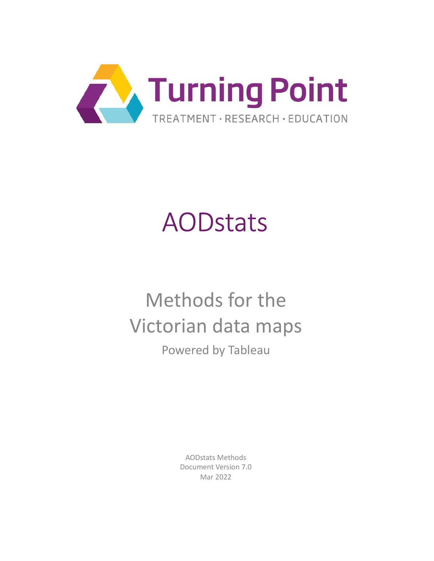

# AODstats

# Methods for the Victorian data maps Powered by Tableau

AODstats Methods Document Version 7.0 Mar 2022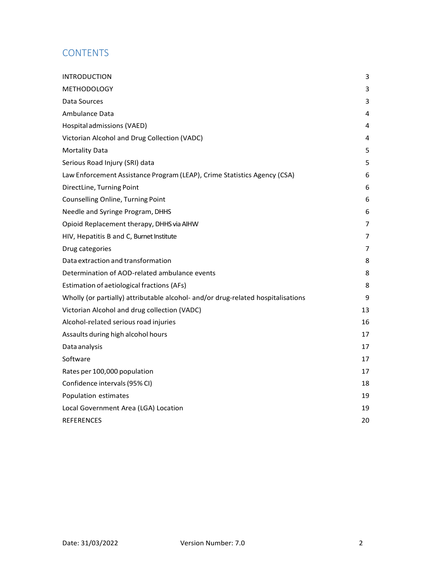# **CONTENTS**

| <b>INTRODUCTION</b>                                                              | 3  |
|----------------------------------------------------------------------------------|----|
| <b>METHODOLOGY</b>                                                               | 3  |
| Data Sources                                                                     | 3  |
| Ambulance Data                                                                   | 4  |
| Hospital admissions (VAED)                                                       | 4  |
| Victorian Alcohol and Drug Collection (VADC)                                     | 4  |
| <b>Mortality Data</b>                                                            | 5  |
| Serious Road Injury (SRI) data                                                   | 5  |
| Law Enforcement Assistance Program (LEAP), Crime Statistics Agency (CSA)         | 6  |
| DirectLine, Turning Point                                                        | 6  |
| Counselling Online, Turning Point                                                | 6  |
| Needle and Syringe Program, DHHS                                                 | 6  |
| Opioid Replacement therapy, DHHS via AIHW                                        | 7  |
| HIV, Hepatitis B and C, Burnet Institute                                         | 7  |
| Drug categories                                                                  | 7  |
| Data extraction and transformation                                               | 8  |
| Determination of AOD-related ambulance events                                    | 8  |
| Estimation of aetiological fractions (AFs)                                       | 8  |
| Wholly (or partially) attributable alcohol- and/or drug-related hospitalisations | 9  |
| Victorian Alcohol and drug collection (VADC)                                     | 13 |
| Alcohol-related serious road injuries                                            | 16 |
| Assaults during high alcohol hours                                               | 17 |
| Data analysis                                                                    | 17 |
| Software                                                                         | 17 |
| Rates per 100,000 population                                                     | 17 |
| Confidence intervals (95% CI)                                                    | 18 |
| Population estimates                                                             | 19 |
| Local Government Area (LGA) Location                                             | 19 |
| <b>REFERENCES</b>                                                                | 20 |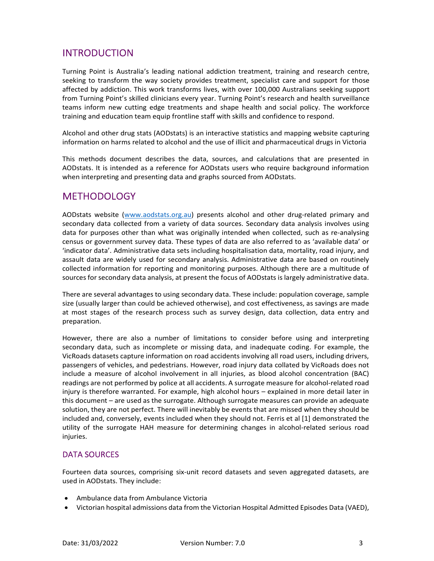# INTRODUCTION

Turning Point is Australia's leading national addiction treatment, training and research centre, seeking to transform the way society provides treatment, specialist care and support for those affected by addiction. This work transforms lives, with over 100,000 Australians seeking support from Turning Point's skilled clinicians every year. Turning Point's research and health surveillance teams inform new cutting edge treatments and shape health and social policy. The workforce training and education team equip frontline staff with skills and confidence to respond.

Alcohol and other drug stats (AODstats) is an interactive statistics and mapping website capturing information on harms related to alcohol and the use of illicit and pharmaceutical drugs in Victoria

This methods document describes the data, sources, and calculations that are presented in AODstats. It is intended as a reference for AODstats users who require background information when interpreting and presenting data and graphs sourced from AODstats.

## **METHODOLOGY**

AODstats website (www.aodstats.org.au) presents alcohol and other drug-related primary and secondary data collected from a variety of data sources. Secondary data analysis involves using data for purposes other than what was originally intended when collected, such as re-analysing census or government survey data. These types of data are also referred to as 'available data' or 'indicator data'. Administrative data sets including hospitalisation data, mortality, road injury, and assault data are widely used for secondary analysis. Administrative data are based on routinely collected information for reporting and monitoring purposes. Although there are a multitude of sources for secondary data analysis, at present the focus of AODstats is largely administrative data.

There are several advantages to using secondary data. These include: population coverage, sample size (usually larger than could be achieved otherwise), and cost effectiveness, as savings are made at most stages of the research process such as survey design, data collection, data entry and preparation.

However, there are also a number of limitations to consider before using and interpreting secondary data, such as incomplete or missing data, and inadequate coding. For example, the VicRoads datasets capture information on road accidents involving all road users, including drivers, passengers of vehicles, and pedestrians. However, road injury data collated by VicRoads does not include a measure of alcohol involvement in all injuries, as blood alcohol concentration (BAC) readings are not performed by police at all accidents. A surrogate measure for alcohol-related road injury is therefore warranted. For example, high alcohol hours – explained in more detail later in this document – are used as the surrogate. Although surrogate measures can provide an adequate solution, they are not perfect. There will inevitably be events that are missed when they should be included and, conversely, events included when they should not. Ferris et al [1] demonstrated the utility of the surrogate HAH measure for determining changes in alcohol-related serious road injuries.

#### DATA SOURCES

Fourteen data sources, comprising six-unit record datasets and seven aggregated datasets, are used in AODstats. They include:

- Ambulance data from Ambulance Victoria
- Victorian hospital admissions data from the Victorian Hospital Admitted Episodes Data (VAED),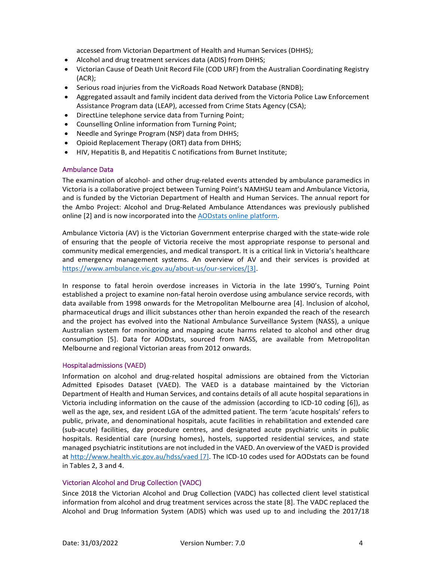accessed from Victorian Department of Health and Human Services (DHHS);

- Alcohol and drug treatment services data (ADIS) from DHHS;
- Victorian Cause of Death Unit Record File (COD URF) from the Australian Coordinating Registry (ACR);
- Serious road injuries from the VicRoads Road Network Database (RNDB);
- Aggregated assault and family incident data derived from the Victoria Police Law Enforcement Assistance Program data (LEAP), accessed from Crime Stats Agency (CSA);
- DirectLine telephone service data from Turning Point;
- Counselling Online information from Turning Point;
- Needle and Syringe Program (NSP) data from DHHS;
- Opioid Replacement Therapy (ORT) data from DHHS;
- HIV, Hepatitis B, and Hepatitis C notifications from Burnet Institute;

#### Ambulance Data

The examination of alcohol- and other drug-related events attended by ambulance paramedics in Victoria is a collaborative project between Turning Point's NAMHSU team and Ambulance Victoria, and is funded by the Victorian Department of Health and Human Services. The annual report for the Ambo Project: Alcohol and Drug-Related Ambulance Attendances was previously published online [2] and is now incorporated into the AODstats online platform.

Ambulance Victoria (AV) is the Victorian Government enterprise charged with the state-wide role of ensuring that the people of Victoria receive the most appropriate response to personal and community medical emergencies, and medical transport. It is a critical link in Victoria's healthcare and emergency management systems. An overview of AV and their services is provided at https://www.ambulance.vic.gov.au/about-us/our-services/[3].

In response to fatal heroin overdose increases in Victoria in the late 1990's, Turning Point established a project to examine non-fatal heroin overdose using ambulance service records, with data available from 1998 onwards for the Metropolitan Melbourne area [4]. Inclusion of alcohol, pharmaceutical drugs and illicit substances other than heroin expanded the reach of the research and the project has evolved into the National Ambulance Surveillance System (NASS), a unique Australian system for monitoring and mapping acute harms related to alcohol and other drug consumption [5]. Data for AODstats, sourced from NASS, are available from Metropolitan Melbourne and regional Victorian areas from 2012 onwards.

#### Hospital admissions (VAED)

Information on alcohol and drug-related hospital admissions are obtained from the Victorian Admitted Episodes Dataset (VAED). The VAED is a database maintained by the Victorian Department of Health and Human Services, and contains details of all acute hospital separations in Victoria including information on the cause of the admission (according to ICD-10 coding [6]), as well as the age, sex, and resident LGA of the admitted patient. The term 'acute hospitals' refers to public, private, and denominational hospitals, acute facilities in rehabilitation and extended care (sub-acute) facilities, day procedure centres, and designated acute psychiatric units in public hospitals. Residential care (nursing homes), hostels, supported residential services, and state managed psychiatric institutions are not included in the VAED. An overview of the VAED is provided at http://www.health.vic.gov.au/hdss/vaed [7]. The ICD-10 codes used for AODstats can be found in Tables 2, 3 and 4.

#### Victorian Alcohol and Drug Collection (VADC)

Since 2018 the Victorian Alcohol and Drug Collection (VADC) has collected client level statistical information from alcohol and drug treatment services across the state [8]. The VADC replaced the Alcohol and Drug Information System (ADIS) which was used up to and including the 2017/18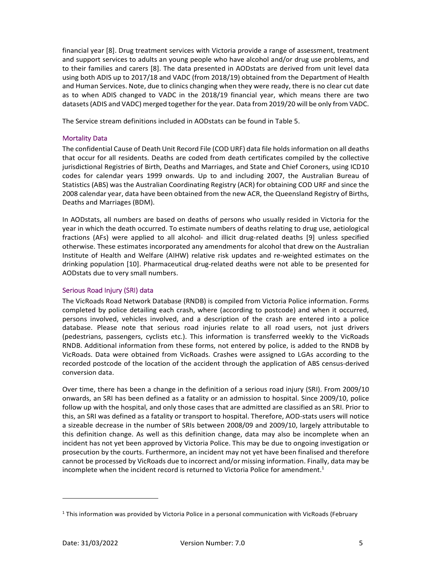financial year [8]. Drug treatment services with Victoria provide a range of assessment, treatment and support services to adults an young people who have alcohol and/or drug use problems, and to their families and carers [8]. The data presented in AODstats are derived from unit level data using both ADIS up to 2017/18 and VADC (from 2018/19) obtained from the Department of Health and Human Services. Note, due to clinics changing when they were ready, there is no clear cut date as to when ADIS changed to VADC in the 2018/19 financial year, which means there are two datasets (ADIS and VADC) merged together for the year. Data from 2019/20 will be only from VADC.

The Service stream definitions included in AODstats can be found in Table 5.

#### Mortality Data

The confidential Cause of Death Unit Record File (COD URF) data file holds information on all deaths that occur for all residents. Deaths are coded from death certificates compiled by the collective jurisdictional Registries of Birth, Deaths and Marriages, and State and Chief Coroners, using ICD10 codes for calendar years 1999 onwards. Up to and including 2007, the Australian Bureau of Statistics (ABS) was the Australian Coordinating Registry (ACR) for obtaining COD URF and since the 2008 calendar year, data have been obtained from the new ACR, the Queensland Registry of Births, Deaths and Marriages (BDM).

In AODstats, all numbers are based on deaths of persons who usually resided in Victoria for the year in which the death occurred. To estimate numbers of deaths relating to drug use, aetiological fractions (AFs) were applied to all alcohol- and illicit drug-related deaths [9] unless specified otherwise. These estimates incorporated any amendments for alcohol that drew on the Australian Institute of Health and Welfare (AIHW) relative risk updates and re-weighted estimates on the drinking population [10]. Pharmaceutical drug-related deaths were not able to be presented for AODstats due to very small numbers.

#### Serious Road Injury (SRI) data

The VicRoads Road Network Database (RNDB) is compiled from Victoria Police information. Forms completed by police detailing each crash, where (according to postcode) and when it occurred, persons involved, vehicles involved, and a description of the crash are entered into a police database. Please note that serious road injuries relate to all road users, not just drivers (pedestrians, passengers, cyclists etc.). This information is transferred weekly to the VicRoads RNDB. Additional information from these forms, not entered by police, is added to the RNDB by VicRoads. Data were obtained from VicRoads. Crashes were assigned to LGAs according to the recorded postcode of the location of the accident through the application of ABS census-derived conversion data.

Over time, there has been a change in the definition of a serious road injury (SRI). From 2009/10 onwards, an SRI has been defined as a fatality or an admission to hospital. Since 2009/10, police follow up with the hospital, and only those cases that are admitted are classified as an SRI. Prior to this, an SRI was defined as a fatality or transport to hospital. Therefore, AOD-stats users will notice a sizeable decrease in the number of SRIs between 2008/09 and 2009/10, largely attributable to this definition change. As well as this definition change, data may also be incomplete when an incident has not yet been approved by Victoria Police. This may be due to ongoing investigation or prosecution by the courts. Furthermore, an incident may not yet have been finalised and therefore cannot be processed by VicRoads due to incorrect and/or missing information. Finally, data may be incomplete when the incident record is returned to Victoria Police for amendment.<sup>1</sup>

<u>.</u>

<sup>&</sup>lt;sup>1</sup> This information was provided by Victoria Police in a personal communication with VicRoads (February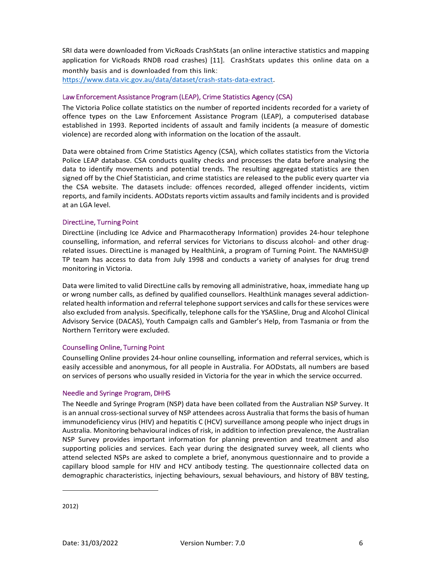SRI data were downloaded from VicRoads CrashStats (an online interactive statistics and mapping application for VicRoads RNDB road crashes) [11]. CrashStats updates this online data on a monthly basis and is downloaded from this link:

https://www.data.vic.gov.au/data/dataset/crash-stats-data-extract.

#### Law Enforcement Assistance Program (LEAP), Crime Statistics Agency (CSA)

The Victoria Police collate statistics on the number of reported incidents recorded for a variety of offence types on the Law Enforcement Assistance Program (LEAP), a computerised database established in 1993. Reported incidents of assault and family incidents (a measure of domestic violence) are recorded along with information on the location of the assault.

Data were obtained from Crime Statistics Agency (CSA), which collates statistics from the Victoria Police LEAP database. CSA conducts quality checks and processes the data before analysing the data to identify movements and potential trends. The resulting aggregated statistics are then signed off by the Chief Statistician, and crime statistics are released to the public every quarter via the CSA website. The datasets include: offences recorded, alleged offender incidents, victim reports, and family incidents. AODstats reports victim assaults and family incidents and is provided at an LGA level.

#### DirectLine, Turning Point

DirectLine (including Ice Advice and Pharmacotherapy Information) provides 24-hour telephone counselling, information, and referral services for Victorians to discuss alcohol- and other drugrelated issues. DirectLine is managed by HealthLink, a program of Turning Point. The NAMHSU@ TP team has access to data from July 1998 and conducts a variety of analyses for drug trend monitoring in Victoria.

Data were limited to valid DirectLine calls by removing all administrative, hoax, immediate hang up or wrong number calls, as defined by qualified counsellors. HealthLink manages several addictionrelated health information and referral telephone support services and calls for these services were also excluded from analysis. Specifically, telephone calls for the YSASline, Drug and Alcohol Clinical Advisory Service (DACAS), Youth Campaign calls and Gambler's Help, from Tasmania or from the Northern Territory were excluded.

#### Counselling Online, Turning Point

Counselling Online provides 24-hour online counselling, information and referral services, which is easily accessible and anonymous, for all people in Australia. For AODstats, all numbers are based on services of persons who usually resided in Victoria for the year in which the service occurred.

#### Needle and Syringe Program, DHHS

The Needle and Syringe Program (NSP) data have been collated from the Australian NSP Survey. It is an annual cross-sectional survey of NSP attendees across Australia that forms the basis of human immunodeficiency virus (HIV) and hepatitis C (HCV) surveillance among people who inject drugs in Australia. Monitoring behavioural indices of risk, in addition to infection prevalence, the Australian NSP Survey provides important information for planning prevention and treatment and also supporting policies and services. Each year during the designated survey week, all clients who attend selected NSPs are asked to complete a brief, anonymous questionnaire and to provide a capillary blood sample for HIV and HCV antibody testing. The questionnaire collected data on demographic characteristics, injecting behaviours, sexual behaviours, and history of BBV testing,

<u>.</u>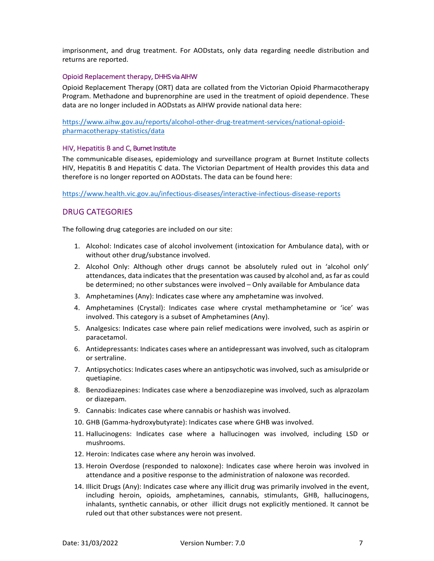imprisonment, and drug treatment. For AODstats, only data regarding needle distribution and returns are reported.

#### Opioid Replacement therapy, DHHS via AIHW

Opioid Replacement Therapy (ORT) data are collated from the Victorian Opioid Pharmacotherapy Program. Methadone and buprenorphine are used in the treatment of opioid dependence. These data are no longer included in AODstats as AIHW provide national data here:

https://www.aihw.gov.au/reports/alcohol-other-drug-treatment-services/national-opioidpharmacotherapy-statistics/data

#### HIV, Hepatitis B and C, Burnet Institute

The communicable diseases, epidemiology and surveillance program at Burnet Institute collects HIV, Hepatitis B and Hepatitis C data. The Victorian Department of Health provides this data and therefore is no longer reported on AODstats. The data can be found here:

https://www.health.vic.gov.au/infectious-diseases/interactive-infectious-disease-reports

#### DRUG CATEGORIES

The following drug categories are included on our site:

- 1. Alcohol: Indicates case of alcohol involvement (intoxication for Ambulance data), with or without other drug/substance involved.
- 2. Alcohol Only: Although other drugs cannot be absolutely ruled out in 'alcohol only' attendances, data indicates that the presentation was caused by alcohol and, as far as could be determined; no other substances were involved – Only available for Ambulance data
- 3. Amphetamines (Any): Indicates case where any amphetamine was involved.
- 4. Amphetamines (Crystal): Indicates case where crystal methamphetamine or 'ice' was involved. This category is a subset of Amphetamines (Any).
- 5. Analgesics: Indicates case where pain relief medications were involved, such as aspirin or paracetamol.
- 6. Antidepressants: Indicates cases where an antidepressant was involved, such as citalopram or sertraline.
- 7. Antipsychotics: Indicates cases where an antipsychotic was involved, such as amisulpride or quetiapine.
- 8. Benzodiazepines: Indicates case where a benzodiazepine was involved, such as alprazolam or diazepam.
- 9. Cannabis: Indicates case where cannabis or hashish was involved.
- 10. GHB (Gamma-hydroxybutyrate): Indicates case where GHB was involved.
- 11. Hallucinogens: Indicates case where a hallucinogen was involved, including LSD or mushrooms.
- 12. Heroin: Indicates case where any heroin was involved.
- 13. Heroin Overdose (responded to naloxone): Indicates case where heroin was involved in attendance and a positive response to the administration of naloxone was recorded.
- 14. Illicit Drugs (Any): Indicates case where any illicit drug was primarily involved in the event, including heroin, opioids, amphetamines, cannabis, stimulants, GHB, hallucinogens, inhalants, synthetic cannabis, or other illicit drugs not explicitly mentioned. It cannot be ruled out that other substances were not present.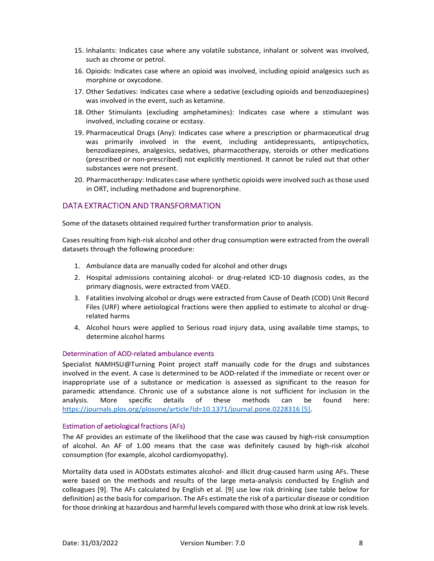- 15. Inhalants: Indicates case where any volatile substance, inhalant or solvent was involved, such as chrome or petrol.
- 16. Opioids: Indicates case where an opioid was involved, including opioid analgesics such as morphine or oxycodone.
- 17. Other Sedatives: Indicates case where a sedative (excluding opioids and benzodiazepines) was involved in the event, such as ketamine.
- 18. Other Stimulants (excluding amphetamines): Indicates case where a stimulant was involved, including cocaine or ecstasy.
- 19. Pharmaceutical Drugs (Any): Indicates case where a prescription or pharmaceutical drug was primarily involved in the event, including antidepressants, antipsychotics, benzodiazepines, analgesics, sedatives, pharmacotherapy, steroids or other medications (prescribed or non-prescribed) not explicitly mentioned. It cannot be ruled out that other substances were not present.
- 20. Pharmacotherapy: Indicates case where synthetic opioids were involved such as those used in ORT, including methadone and buprenorphine.

#### DATA EXTRACTION AND TRANSFORMATION

Some of the datasets obtained required further transformation prior to analysis.

Cases resulting from high-risk alcohol and other drug consumption were extracted from the overall datasets through the following procedure:

- 1. Ambulance data are manually coded for alcohol and other drugs
- 2. Hospital admissions containing alcohol- or drug-related ICD-10 diagnosis codes, as the primary diagnosis, were extracted from VAED.
- 3. Fatalities involving alcohol or drugs were extracted from Cause of Death (COD) Unit Record Files (URF) where aetiological fractions were then applied to estimate to alcohol or drugrelated harms
- 4. Alcohol hours were applied to Serious road injury data, using available time stamps, to determine alcohol harms

#### Determination of AOD-related ambulance events

Specialist NAMHSU@Turning Point project staff manually code for the drugs and substances involved in the event. A case is determined to be AOD-related if the immediate or recent over or inappropriate use of a substance or medication is assessed as significant to the reason for paramedic attendance. Chronic use of a substance alone is not sufficient for inclusion in the analysis. More specific details of these methods can be found here: https://journals.plos.org/plosone/article?id=10.1371/journal.pone.0228316 [5].

#### Estimation of aetiological fractions (AFs)

The AF provides an estimate of the likelihood that the case was caused by high-risk consumption of alcohol. An AF of 1.00 means that the case was definitely caused by high-risk alcohol consumption (for example, alcohol cardiomyopathy).

Mortality data used in AODstats estimates alcohol- and illicit drug-caused harm using AFs. These were based on the methods and results of the large meta-analysis conducted by English and colleagues [9]. The AFs calculated by English et al. [9] use low risk drinking (see table below for definition) as the basis for comparison. The AFs estimate the risk of a particular disease or condition for those drinking at hazardous and harmful levels compared with those who drink at low risk levels.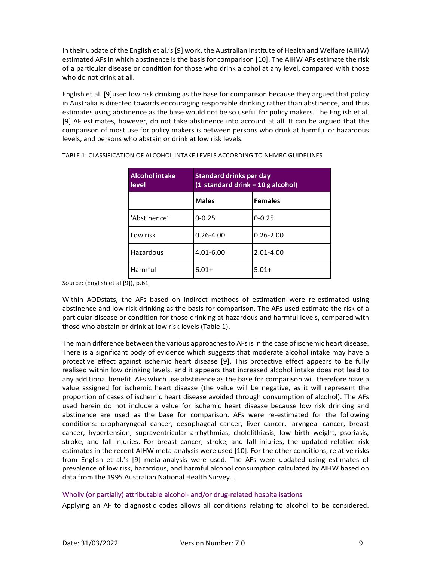In their update of the English et al.'s [9] work, the Australian Institute of Health and Welfare (AIHW) estimated AFs in which abstinence is the basis for comparison [10]. The AIHW AFs estimate the risk of a particular disease or condition for those who drink alcohol at any level, compared with those who do not drink at all.

English et al. [9]used low risk drinking as the base for comparison because they argued that policy in Australia is directed towards encouraging responsible drinking rather than abstinence, and thus estimates using abstinence as the base would not be so useful for policy makers. The English et al. [9] AF estimates, however, do not take abstinence into account at all. It can be argued that the comparison of most use for policy makers is between persons who drink at harmful or hazardous levels, and persons who abstain or drink at low risk levels.

| <b>Alcoholintake</b><br>level | Standard drinks per day<br>$(1$ standard drink = 10 g alcohol) |               |  |
|-------------------------------|----------------------------------------------------------------|---------------|--|
|                               | <b>Males</b><br><b>Females</b>                                 |               |  |
| 'Abstinence'                  | $0 - 0.25$                                                     | $0 - 0.25$    |  |
| Low risk                      | $0.26 - 4.00$                                                  | $0.26 - 2.00$ |  |
| Hazardous                     | $4.01 - 6.00$                                                  | $2.01 - 4.00$ |  |
| Harmful                       | $6.01+$<br>$5.01+$                                             |               |  |

TABLE 1: CLASSIFICATION OF ALCOHOL INTAKE LEVELS ACCORDING TO NHMRC GUIDELINES

Source: (English et al [9]), p.61

Within AODstats, the AFs based on indirect methods of estimation were re-estimated using abstinence and low risk drinking as the basis for comparison. The AFs used estimate the risk of a particular disease or condition for those drinking at hazardous and harmful levels, compared with those who abstain or drink at low risk levels (Table 1).

The main difference between the various approaches to AFs is in the case of ischemic heart disease. There is a significant body of evidence which suggests that moderate alcohol intake may have a protective effect against ischemic heart disease [9]. This protective effect appears to be fully realised within low drinking levels, and it appears that increased alcohol intake does not lead to any additional benefit. AFs which use abstinence as the base for comparison will therefore have a value assigned for ischemic heart disease (the value will be negative, as it will represent the proportion of cases of ischemic heart disease avoided through consumption of alcohol). The AFs used herein do not include a value for ischemic heart disease because low risk drinking and abstinence are used as the base for comparison. AFs were re-estimated for the following conditions: oropharyngeal cancer, oesophageal cancer, liver cancer, laryngeal cancer, breast cancer, hypertension, supraventricular arrhythmias, cholelithiasis, low birth weight, psoriasis, stroke, and fall injuries. For breast cancer, stroke, and fall injuries, the updated relative risk estimates in the recent AIHW meta-analysis were used [10]. For the other conditions, relative risks from English et al.'s [9] meta-analysis were used. The AFs were updated using estimates of prevalence of low risk, hazardous, and harmful alcohol consumption calculated by AIHW based on data from the 1995 Australian National Health Survey. .

#### Wholly (or partially) attributable alcohol- and/or drug-related hospitalisations

Applying an AF to diagnostic codes allows all conditions relating to alcohol to be considered.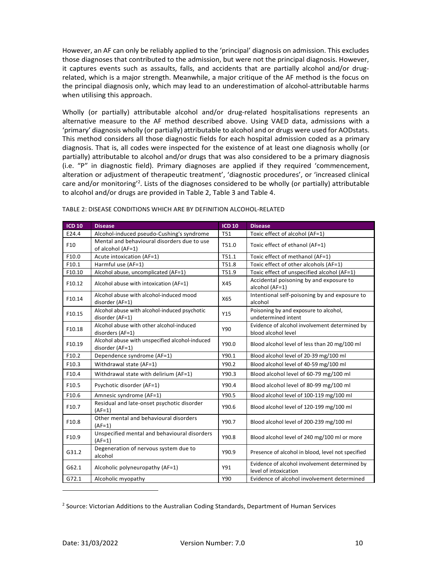However, an AF can only be reliably applied to the 'principal' diagnosis on admission. This excludes those diagnoses that contributed to the admission, but were not the principal diagnosis. However, it captures events such as assaults, falls, and accidents that are partially alcohol and/or drugrelated, which is a major strength. Meanwhile, a major critique of the AF method is the focus on the principal diagnosis only, which may lead to an underestimation of alcohol-attributable harms when utilising this approach.

Wholly (or partially) attributable alcohol and/or drug-related hospitalisations represents an alternative measure to the AF method described above. Using VAED data, admissions with a 'primary' diagnosis wholly (or partially) attributable to alcohol and or drugs were used for AODstats. This method considers all those diagnostic fields for each hospital admission coded as a primary diagnosis. That is, all codes were inspected for the existence of at least one diagnosis wholly (or partially) attributable to alcohol and/or drugs that was also considered to be a primary diagnosis (i.e. "P" in diagnostic field). Primary diagnoses are applied if they required 'commencement, alteration or adjustment of therapeutic treatment', 'diagnostic procedures', or 'increased clinical care and/or monitoring<sup>2</sup>. Lists of the diagnoses considered to be wholly (or partially) attributable to alcohol and/or drugs are provided in Table 2, Table 3 and Table 4.

| <b>ICD 10</b> | <b>Disease</b>                                                    | <b>ICD 10</b> | <b>Disease</b>                                                         |
|---------------|-------------------------------------------------------------------|---------------|------------------------------------------------------------------------|
| E24.4         | Alcohol-induced pseudo-Cushing's syndrome                         | <b>T51</b>    | Toxic effect of alcohol (AF=1)                                         |
| F10           | Mental and behavioural disorders due to use<br>of alcohol (AF=1)  | T51.0         | Toxic effect of ethanol (AF=1)                                         |
| F10.0         | Acute intoxication (AF=1)                                         | T51.1         | Toxic effect of methanol (AF=1)                                        |
| F10.1         | Harmful use (AF=1)                                                | T51.8         | Toxic effect of other alcohols (AF=1)                                  |
| F10.10        | Alcohol abuse, uncomplicated (AF=1)                               | T51.9         | Toxic effect of unspecified alcohol (AF=1)                             |
| F10.12        | Alcohol abuse with intoxication (AF=1)                            | X45           | Accidental poisoning by and exposure to<br>alcohol (AF=1)              |
| F10.14        | Alcohol abuse with alcohol-induced mood<br>disorder (AF=1)        | X65           | Intentional self-poisoning by and exposure to<br>alcohol               |
| F10.15        | Alcohol abuse with alcohol-induced psychotic<br>disorder (AF=1)   | Y15           | Poisoning by and exposure to alcohol,<br>undetermined intent           |
| F10.18        | Alcohol abuse with other alcohol-induced<br>disorders (AF=1)      | Y90           | Evidence of alcohol involvement determined by<br>blood alcohol level   |
| F10.19        | Alcohol abuse with unspecified alcohol-induced<br>disorder (AF=1) | Y90.0         | Blood alcohol level of less than 20 mg/100 ml                          |
| F10.2         | Dependence syndrome (AF=1)                                        | Y90.1         | Blood alcohol level of 20-39 mg/100 ml                                 |
| F10.3         | Withdrawal state (AF=1)                                           | Y90.2         | Blood alcohol level of 40-59 mg/100 ml                                 |
| F10.4         | Withdrawal state with delirium (AF=1)                             | Y90.3         | Blood alcohol level of 60-79 mg/100 ml                                 |
| F10.5         | Psychotic disorder (AF=1)                                         | Y90.4         | Blood alcohol level of 80-99 mg/100 ml                                 |
| F10.6         | Amnesic syndrome (AF=1)                                           | Y90.5         | Blood alcohol level of 100-119 mg/100 ml                               |
| F10.7         | Residual and late-onset psychotic disorder<br>$(AF=1)$            | Y90.6         | Blood alcohol level of 120-199 mg/100 ml                               |
| F10.8         | Other mental and behavioural disorders<br>$(AF=1)$                | Y90.7         | Blood alcohol level of 200-239 mg/100 ml                               |
| F10.9         | Unspecified mental and behavioural disorders<br>$(AF=1)$          | Y90.8         | Blood alcohol level of 240 mg/100 ml or more                           |
| G31.2         | Degeneration of nervous system due to<br>alcohol                  | Y90.9         | Presence of alcohol in blood, level not specified                      |
| G62.1         | Alcoholic polyneuropathy (AF=1)                                   | Y91           | Evidence of alcohol involvement determined by<br>level of intoxication |
| G72.1         | Alcoholic myopathy                                                | Y90           | Evidence of alcohol involvement determined                             |

TABLE 2: DISEASE CONDITIONS WHICH ARE BY DEFINITION ALCOHOL-RELATED

<u>.</u>

<sup>&</sup>lt;sup>2</sup> Source: Victorian Additions to the Australian Coding Standards, Department of Human Services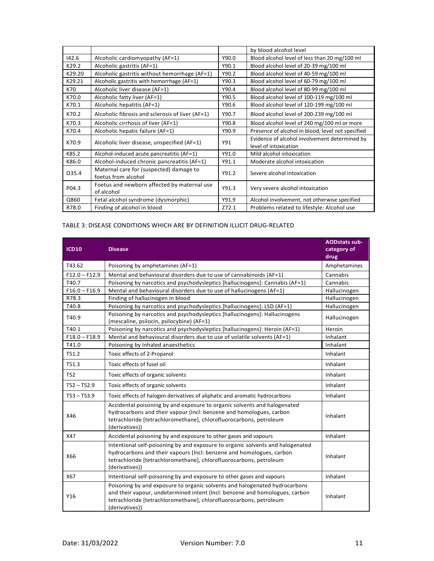|        |                                                                |       | by blood alcohol level                                                 |  |
|--------|----------------------------------------------------------------|-------|------------------------------------------------------------------------|--|
| 142.6  | Alcoholic cardiomyopathy (AF=1)                                | Y90.0 | Blood alcohol level of less than 20 mg/100 ml                          |  |
| K29.2  | Alcoholic gastritis (AF=1)                                     | Y90.1 | Blood alcohol level of 20-39 mg/100 ml                                 |  |
| K29.20 | Alcoholic gastritis without hemorrhage (AF=1)                  | Y90.2 | Blood alcohol level of 40-59 mg/100 ml                                 |  |
| K29.21 | Alcoholic gastritis with hemorrhage (AF=1)                     | Y90.3 | Blood alcohol level of 60-79 mg/100 ml                                 |  |
| K70    | Alcoholic liver disease (AF=1)                                 | Y90.4 | Blood alcohol level of 80-99 mg/100 ml                                 |  |
| K70.0  | Alcoholic fatty liver (AF=1)                                   | Y90.5 | Blood alcohol level of 100-119 mg/100 ml                               |  |
| K70.1  | Alcoholic hepatitis (AF=1)                                     | Y90.6 | Blood alcohol level of 120-199 mg/100 ml                               |  |
| K70.2  | Alcoholic fibrosis and sclerosis of liver (AF=1)               | Y90.7 | Blood alcohol level of 200-239 mg/100 ml                               |  |
| K70.3  | Alcoholic cirrhosis of liver (AF=1)                            | Y90.8 | Blood alcohol level of 240 mg/100 ml or more                           |  |
| K70.4  | Alcoholic hepatic failure (AF=1)                               | Y90.9 | Presence of alcohol in blood, level not specified                      |  |
| K70.9  | Alcoholic liver disease, unspecified (AF=1)                    | Y91   | Evidence of alcohol involvement determined by<br>level of intoxication |  |
| K85.2  | Alcohol-induced acute pancreatitis (AF=1)                      | Y91.0 | Mild alcohol intoxication                                              |  |
| K86.0  | Alcohol-induced chronic pancreatitis (AF=1)                    | Y91.1 | Moderate alcohol intoxication                                          |  |
| 035.4  | Maternal care for (suspected) damage to<br>foetus from alcohol | Y91.2 | Severe alcohol intoxication                                            |  |
| P04.3  | Foetus and newborn affected by maternal use<br>of alcohol      | Y91.3 | Very severe alcohol intoxication                                       |  |
| Q860   | Fetal alcohol syndrome (dysmorphic)                            | Y91.9 | Alcohol involvement, not otherwise specified                           |  |
| R78.0  | Finding of alcohol in blood                                    | Z72.1 | Problems related to lifestyle: Alcohol use                             |  |

#### TABLE 3: DISEASE CONDITIONS WHICH ARE BY DEFINITION ILLICIT DRUG-RELATED

| <b>ICD10</b>                                                                                                                                                                                                                                             | <b>Disease</b>                                                                                                                                                                                                                          | <b>AODstats sub-</b><br>category of<br>drug |
|----------------------------------------------------------------------------------------------------------------------------------------------------------------------------------------------------------------------------------------------------------|-----------------------------------------------------------------------------------------------------------------------------------------------------------------------------------------------------------------------------------------|---------------------------------------------|
| T43.62                                                                                                                                                                                                                                                   | Poisoning by amphetamines (AF=1)                                                                                                                                                                                                        | Amphetamines                                |
| $F12.0 - F12.9$                                                                                                                                                                                                                                          | Mental and behavioural disorders due to use of cannabinoids (AF=1)                                                                                                                                                                      | Cannabis                                    |
| T40.7                                                                                                                                                                                                                                                    | Poisoning by narcotics and psychodysleptics [hallucinogens]: Cannabis (AF=1)                                                                                                                                                            | Cannabis                                    |
| $F16.0 - F16.9$                                                                                                                                                                                                                                          | Mental and behavioural disorders due to use of hallucinogens (AF=1)                                                                                                                                                                     | Hallucinogen                                |
| R78.3                                                                                                                                                                                                                                                    | Finding of hallucinogen in blood                                                                                                                                                                                                        | Hallucinogen                                |
| T40.8                                                                                                                                                                                                                                                    | Poisoning by narcotics and psychodysleptics [hallucinogens]: LSD (AF=1)                                                                                                                                                                 | Hallucinogen                                |
| T40.9                                                                                                                                                                                                                                                    | Poisoning by narcotics and psychodysleptics [hallucinogens]: Hallucinogens<br>(mescaline, psilocin, psilocybine) (AF=1)                                                                                                                 | Hallucinogen                                |
| T40.1                                                                                                                                                                                                                                                    | Poisoning by narcotics and psychodysleptics [hallucinogens]: Heroin (AF=1)                                                                                                                                                              | Heroin                                      |
| $F18.0 - F18.9$                                                                                                                                                                                                                                          | Mental and behavioural disorders due to use of volatile solvents (AF=1)                                                                                                                                                                 | Inhalant                                    |
| T41.0                                                                                                                                                                                                                                                    | Poisoning by Inhaled anaesthetics                                                                                                                                                                                                       | Inhalant                                    |
| T51.2                                                                                                                                                                                                                                                    | Toxic effects of 2-Propanol                                                                                                                                                                                                             |                                             |
| T51.3                                                                                                                                                                                                                                                    | Toxic effects of fusel oil                                                                                                                                                                                                              | Inhalant                                    |
| T52                                                                                                                                                                                                                                                      | Toxic effects of organic solvents                                                                                                                                                                                                       | Inhalant                                    |
| $T52 - T52.9$                                                                                                                                                                                                                                            | Toxic effects of organic solvents                                                                                                                                                                                                       | Inhalant                                    |
| $T53 - T53.9$                                                                                                                                                                                                                                            | Toxic effects of halogen derivatives of aliphatic and aromatic hydrocarbons                                                                                                                                                             | Inhalant                                    |
| X46                                                                                                                                                                                                                                                      | Accidental poisoning by and exposure to organic solvents and halogenated<br>hydrocarbons and their vapour (Incl: benzene and homologues, carbon<br>tetrachloride [tetrachloromethane], chlorofluorocarbons, petroleum<br>(derivatives)) |                                             |
| X47                                                                                                                                                                                                                                                      | Accidental poisoning by and exposure to other gases and vapours                                                                                                                                                                         | Inhalant                                    |
| Intentional self-poisoning by and exposure to organic solvents and halogenated<br>hydrocarbons and their vapours (Incl: benzene and homologues, carbon<br>X66<br>tetrachloride [tetrachloromethane], chlorofluorocarbons, petroleum<br>(derivatives))    |                                                                                                                                                                                                                                         | Inhalant                                    |
| X67                                                                                                                                                                                                                                                      | Intentional self-poisoning by and exposure to other gases and vapours                                                                                                                                                                   | Inhalant                                    |
| Poisoning by and exposure to organic solvents and halogenated hydrocarbons<br>and their vapour, undetermined intent (Incl: benzene and homologues, carbon<br>Y16<br>tetrachloride [tetrachloromethane], chlorofluorocarbons, petroleum<br>(derivatives)) |                                                                                                                                                                                                                                         | Inhalant                                    |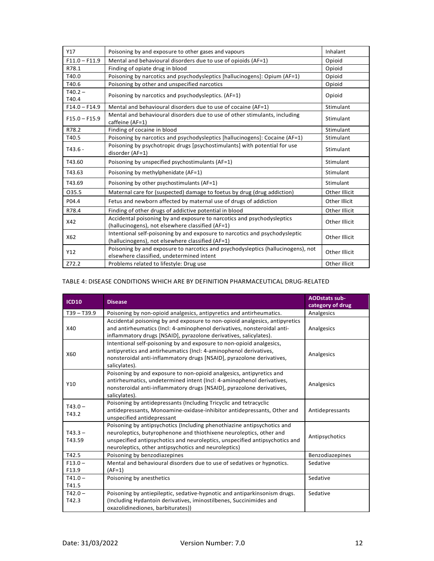| Y17                                                                                                                               | Poisoning by and exposure to other gases and vapours                                                                            | Inhalant      |
|-----------------------------------------------------------------------------------------------------------------------------------|---------------------------------------------------------------------------------------------------------------------------------|---------------|
| $F11.0 - F11.9$                                                                                                                   | Mental and behavioural disorders due to use of opioids (AF=1)                                                                   | Opioid        |
| R78.1                                                                                                                             | Finding of opiate drug in blood                                                                                                 | Opioid        |
| T40.0                                                                                                                             | Poisoning by narcotics and psychodysleptics [hallucinogens]: Opium (AF=1)                                                       | Opioid        |
| T40.6                                                                                                                             | Poisoning by other and unspecified narcotics                                                                                    | Opioid        |
| $T40.2 -$<br>T40.4                                                                                                                | Poisoning by narcotics and psychodysleptics. (AF=1)                                                                             | Opioid        |
| $F14.0 - F14.9$                                                                                                                   | Mental and behavioural disorders due to use of cocaine (AF=1)                                                                   | Stimulant     |
| $F15.0 - F15.9$                                                                                                                   | Mental and behavioural disorders due to use of other stimulants, including<br>caffeine (AF=1)                                   | Stimulant     |
| R78.2                                                                                                                             | Finding of cocaine in blood                                                                                                     | Stimulant     |
| T40.5                                                                                                                             | Poisoning by narcotics and psychodysleptics [hallucinogens]: Cocaine (AF=1)                                                     | Stimulant     |
| Poisoning by psychotropic drugs [psychostimulants] with potential for use<br>$T43.6 -$<br>disorder (AF=1)                         |                                                                                                                                 | Stimulant     |
| T43.60                                                                                                                            | Poisoning by unspecified psychostimulants (AF=1)                                                                                |               |
| T43.63                                                                                                                            | Poisoning by methylphenidate (AF=1)                                                                                             | Stimulant     |
| T43.69                                                                                                                            | Poisoning by other psychostimulants (AF=1)                                                                                      | Stimulant     |
| 035.5                                                                                                                             | Maternal care for (suspected) damage to foetus by drug (drug addiction)                                                         | Other Illicit |
| P04.4                                                                                                                             | Fetus and newborn affected by maternal use of drugs of addiction                                                                | Other Illicit |
| R78.4                                                                                                                             | Finding of other drugs of addictive potential in blood                                                                          | Other Illicit |
| Accidental poisoning by and exposure to narcotics and psychodysleptics<br>X42<br>(hallucinogens), not elsewhere classified (AF=1) |                                                                                                                                 | Other Illicit |
| X62                                                                                                                               | Intentional self-poisoning by and exposure to narcotics and psychodysleptic<br>(hallucinogens), not elsewhere classified (AF=1) |               |
| Y12                                                                                                                               | Poisoning by and exposure to narcotics and psychodysleptics (hallucinogens), not<br>elsewhere classified, undetermined intent   |               |
| Z72.2                                                                                                                             | Problems related to lifestyle: Drug use                                                                                         | Other illicit |

#### TABLE 4: DISEASE CONDITIONS WHICH ARE BY DEFINITION PHARMACEUTICAL DRUG-RELATED

| <b>ICD10</b>        | <b>Disease</b>                                                                                                                                                                                                                                                                        | <b>AODstats sub-</b><br>category of drug |
|---------------------|---------------------------------------------------------------------------------------------------------------------------------------------------------------------------------------------------------------------------------------------------------------------------------------|------------------------------------------|
| $T39 - T39.9$       | Poisoning by non-opioid analgesics, antipyretics and antirheumatics.                                                                                                                                                                                                                  | Analgesics                               |
| X40                 | Accidental poisoning by and exposure to non-opioid analgesics, antipyretics<br>and antirheumatics (Incl: 4-aminophenol derivatives, nonsteroidal anti-<br>inflammatory drugs [NSAID], pyrazolone derivatives, salicylates).                                                           | Analgesics                               |
| X60                 | Intentional self-poisoning by and exposure to non-opioid analgesics,<br>antipyretics and antirheumatics (Incl: 4-aminophenol derivatives,<br>nonsteroidal anti-inflammatory drugs [NSAID], pyrazolone derivatives,<br>salicylates).                                                   | Analgesics                               |
| Y10                 | Poisoning by and exposure to non-opioid analgesics, antipyretics and<br>antirheumatics, undetermined intent (Incl: 4-aminophenol derivatives,<br>nonsteroidal anti-inflammatory drugs [NSAID], pyrazolone derivatives,<br>salicylates).                                               | Analgesics                               |
| $T43.0 -$<br>T43.2  | Poisoning by antidepressants (Including Tricyclic and tetracyclic<br>antidepressants, Monoamine-oxidase-inhibitor antidepressants, Other and<br>unspecified antidepressant                                                                                                            | Antidepressants                          |
| $T43.3 -$<br>T43.59 | Poisoning by antipsychotics (Including phenothiazine antipsychotics and<br>neuroleptics, butyrophenone and thiothixene neuroleptics, other and<br>unspecified antipsychotics and neuroleptics, unspecified antipsychotics and<br>neuroleptics, other antipsychotics and neuroleptics) | Antipsychotics                           |
| T42.5               | Poisoning by benzodiazepines                                                                                                                                                                                                                                                          | Benzodiazepines                          |
| $F13.0 -$<br>F13.9  | Mental and behavioural disorders due to use of sedatives or hypnotics.<br>$(AF=1)$                                                                                                                                                                                                    | Sedative                                 |
| $T41.0 -$<br>T41.5  | Poisoning by anesthetics                                                                                                                                                                                                                                                              | Sedative                                 |
| $T42.0 -$<br>T42.3  | Poisoning by antiepileptic, sedative-hypnotic and antiparkinsonism drugs.<br>(Including Hydantoin derivatives, iminostilbenes, Succinimides and<br>oxazolidinediones, barbiturates))                                                                                                  | Sedative                                 |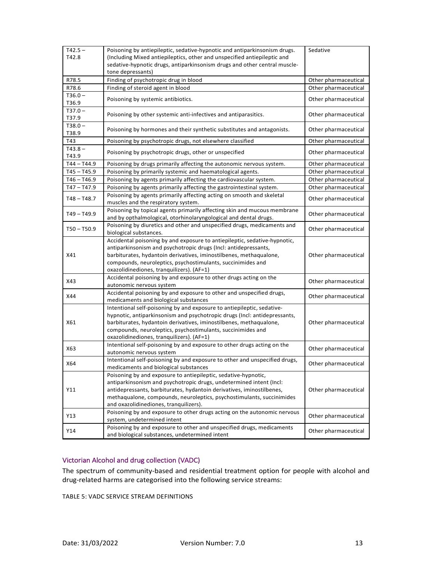| $T42.5 -$<br>T42.8 | Poisoning by antiepileptic, sedative-hypnotic and antiparkinsonism drugs.<br>(Including Mixed antiepileptics, other and unspecified antiepileptic and                                                                                                                                                                                 | Sedative             |
|--------------------|---------------------------------------------------------------------------------------------------------------------------------------------------------------------------------------------------------------------------------------------------------------------------------------------------------------------------------------|----------------------|
|                    | sedative-hypnotic drugs, antiparkinsonism drugs and other central muscle-<br>tone depressants)                                                                                                                                                                                                                                        |                      |
| R78.5              | Finding of psychotropic drug in blood                                                                                                                                                                                                                                                                                                 | Other pharmaceutical |
| R78.6              | Finding of steroid agent in blood                                                                                                                                                                                                                                                                                                     | Other pharmaceutical |
| $T36.0 -$<br>T36.9 | Poisoning by systemic antibiotics.                                                                                                                                                                                                                                                                                                    | Other pharmaceutical |
| $T37.0 -$<br>T37.9 | Poisoning by other systemic anti-infectives and antiparasitics.                                                                                                                                                                                                                                                                       | Other pharmaceutical |
| $T38.0 -$<br>T38.9 | Poisoning by hormones and their synthetic substitutes and antagonists.                                                                                                                                                                                                                                                                | Other pharmaceutical |
| T43                | Poisoning by psychotropic drugs, not elsewhere classified                                                                                                                                                                                                                                                                             | Other pharmaceutical |
| $T43.8 -$<br>T43.9 | Poisoning by psychotropic drugs, other or unspecified                                                                                                                                                                                                                                                                                 | Other pharmaceutical |
| T44 – T44.9        | Poisoning by drugs primarily affecting the autonomic nervous system.                                                                                                                                                                                                                                                                  | Other pharmaceutical |
| T45-T45.9          | Poisoning by primarily systemic and haematological agents.                                                                                                                                                                                                                                                                            | Other pharmaceutical |
| T46 – T46.9        | Poisoning by agents primarily affecting the cardiovascular system.                                                                                                                                                                                                                                                                    | Other pharmaceutical |
| $T47 - T47.9$      | Poisoning by agents primarily affecting the gastrointestinal system.                                                                                                                                                                                                                                                                  | Other pharmaceutical |
| T48-T48.7          | Poisoning by agents primarily affecting acting on smooth and skeletal<br>muscles and the respiratory system.                                                                                                                                                                                                                          | Other pharmaceutical |
| $T49 - T49.9$      | Poisoning by topical agents primarily affecting skin and mucous membrane<br>and by opthalmological, otorhinolaryngological and dental drugs.                                                                                                                                                                                          | Other pharmaceutical |
| T50-T50.9          | Poisoning by diuretics and other and unspecified drugs, medicaments and<br>biological substances.                                                                                                                                                                                                                                     | Other pharmaceutical |
| X41                | Accidental poisoning by and exposure to antiepileptic, sedative-hypnotic,<br>antiparkinsonism and psychotropic drugs (Incl: antidepressants,<br>barbiturates, hydantoin derivatives, iminostilbenes, methaqualone,<br>compounds, neuroleptics, psychostimulants, succinimides and<br>oxazolidinediones, tranquilizers). (AF=1)        | Other pharmaceutical |
| X43                | Accidental poisoning by and exposure to other drugs acting on the<br>autonomic nervous system                                                                                                                                                                                                                                         | Other pharmaceutical |
| X44                | Accidental poisoning by and exposure to other and unspecified drugs,<br>medicaments and biological substances                                                                                                                                                                                                                         | Other pharmaceutical |
| X61                | Intentional self-poisoning by and exposure to antiepileptic, sedative-<br>hypnotic, antiparkinsonism and psychotropic drugs (Incl: antidepressants,<br>barbiturates, hydantoin derivatives, iminostilbenes, methaqualone,<br>compounds, neuroleptics, psychostimulants, succinimides and<br>oxazolidinediones, tranquilizers). (AF=1) | Other pharmaceutical |
| X63                | Intentional self-poisoning by and exposure to other drugs acting on the<br>autonomic nervous system                                                                                                                                                                                                                                   | Other pharmaceutical |
| X64                | Intentional self-poisoning by and exposure to other and unspecified drugs,<br>medicaments and biological substances                                                                                                                                                                                                                   | Other pharmaceutical |
| Y11                | Poisoning by and exposure to antiepileptic, sedative-hypnotic,<br>antiparkinsonism and psychotropic drugs, undetermined intent (Incl:<br>antidepressants, barbiturates, hydantoin derivatives, iminostilbenes,<br>methaqualone, compounds, neuroleptics, psychostimulants, succinimides<br>and oxazolidinediones, tranquilizers).     | Other pharmaceutical |
| Y13                | Poisoning by and exposure to other drugs acting on the autonomic nervous<br>system, undetermined intent                                                                                                                                                                                                                               | Other pharmaceutical |
| Y14                | Poisoning by and exposure to other and unspecified drugs, medicaments<br>and biological substances, undetermined intent                                                                                                                                                                                                               | Other pharmaceutical |

#### Victorian Alcohol and drug collection (VADC)

The spectrum of community-based and residential treatment option for people with alcohol and drug-related harms are categorised into the following service streams:

TABLE 5: VADC SERVICE STREAM DEFINITIONS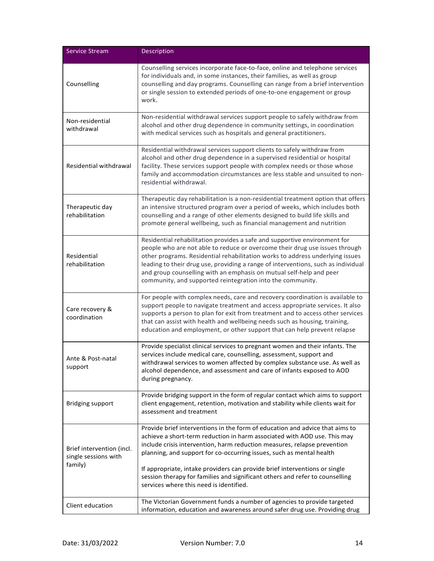| <b>Service Stream</b>                                        | Description                                                                                                                                                                                                                                                                                                                                                                                                                                                                                                           |
|--------------------------------------------------------------|-----------------------------------------------------------------------------------------------------------------------------------------------------------------------------------------------------------------------------------------------------------------------------------------------------------------------------------------------------------------------------------------------------------------------------------------------------------------------------------------------------------------------|
| Counselling                                                  | Counselling services incorporate face-to-face, online and telephone services<br>for individuals and, in some instances, their families, as well as group<br>counselling and day programs. Counselling can range from a brief intervention<br>or single session to extended periods of one-to-one engagement or group<br>work.                                                                                                                                                                                         |
| Non-residential<br>withdrawal                                | Non-residential withdrawal services support people to safely withdraw from<br>alcohol and other drug dependence in community settings, in coordination<br>with medical services such as hospitals and general practitioners.                                                                                                                                                                                                                                                                                          |
| Residential withdrawal                                       | Residential withdrawal services support clients to safely withdraw from<br>alcohol and other drug dependence in a supervised residential or hospital<br>facility. These services support people with complex needs or those whose<br>family and accommodation circumstances are less stable and unsuited to non-<br>residential withdrawal.                                                                                                                                                                           |
| Therapeutic day<br>rehabilitation                            | Therapeutic day rehabilitation is a non-residential treatment option that offers<br>an intensive structured program over a period of weeks, which includes both<br>counselling and a range of other elements designed to build life skills and<br>promote general wellbeing, such as financial management and nutrition                                                                                                                                                                                               |
| Residential<br>rehabilitation                                | Residential rehabilitation provides a safe and supportive environment for<br>people who are not able to reduce or overcome their drug use issues through<br>other programs. Residential rehabilitation works to address underlying issues<br>leading to their drug use, providing a range of interventions, such as individual<br>and group counselling with an emphasis on mutual self-help and peer<br>community, and supported reintegration into the community.                                                   |
| Care recovery &<br>coordination                              | For people with complex needs, care and recovery coordination is available to<br>support people to navigate treatment and access appropriate services. It also<br>supports a person to plan for exit from treatment and to access other services<br>that can assist with health and wellbeing needs such as housing, training,<br>education and employment, or other support that can help prevent relapse                                                                                                            |
| Ante & Post-natal<br>support                                 | Provide specialist clinical services to pregnant women and their infants. The<br>services include medical care, counselling, assessment, support and<br>withdrawal services to women affected by complex substance use. As well as<br>alcohol dependence, and assessment and care of infants exposed to AOD<br>during pregnancy.                                                                                                                                                                                      |
| <b>Bridging support</b>                                      | Provide bridging support in the form of regular contact which aims to support<br>client engagement, retention, motivation and stability while clients wait for<br>assessment and treatment                                                                                                                                                                                                                                                                                                                            |
| Brief intervention (incl.<br>single sessions with<br>family) | Provide brief interventions in the form of education and advice that aims to<br>achieve a short-term reduction in harm associated with AOD use. This may<br>include crisis intervention, harm reduction measures, relapse prevention<br>planning, and support for co-occurring issues, such as mental health<br>If appropriate, intake providers can provide brief interventions or single<br>session therapy for families and significant others and refer to counselling<br>services where this need is identified. |
| Client education                                             | The Victorian Government funds a number of agencies to provide targeted<br>information, education and awareness around safer drug use. Providing drug                                                                                                                                                                                                                                                                                                                                                                 |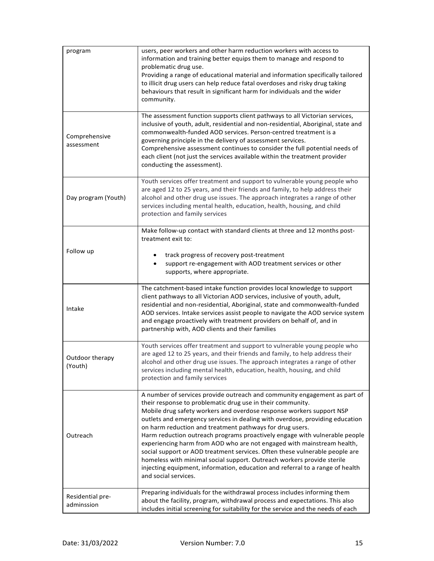| program                        | users, peer workers and other harm reduction workers with access to<br>information and training better equips them to manage and respond to<br>problematic drug use.<br>Providing a range of educational material and information specifically tailored<br>to illicit drug users can help reduce fatal overdoses and risky drug taking<br>behaviours that result in significant harm for individuals and the wider<br>community.                                                                                                                                                                                                                                                                                                                                                      |
|--------------------------------|---------------------------------------------------------------------------------------------------------------------------------------------------------------------------------------------------------------------------------------------------------------------------------------------------------------------------------------------------------------------------------------------------------------------------------------------------------------------------------------------------------------------------------------------------------------------------------------------------------------------------------------------------------------------------------------------------------------------------------------------------------------------------------------|
| Comprehensive<br>assessment    | The assessment function supports client pathways to all Victorian services,<br>inclusive of youth, adult, residential and non-residential, Aboriginal, state and<br>commonwealth-funded AOD services. Person-centred treatment is a<br>governing principle in the delivery of assessment services.<br>Comprehensive assessment continues to consider the full potential needs of<br>each client (not just the services available within the treatment provider<br>conducting the assessment).                                                                                                                                                                                                                                                                                         |
| Day program (Youth)            | Youth services offer treatment and support to vulnerable young people who<br>are aged 12 to 25 years, and their friends and family, to help address their<br>alcohol and other drug use issues. The approach integrates a range of other<br>services including mental health, education, health, housing, and child<br>protection and family services                                                                                                                                                                                                                                                                                                                                                                                                                                 |
| Follow up                      | Make follow-up contact with standard clients at three and 12 months post-<br>treatment exit to:<br>track progress of recovery post-treatment<br>support re-engagement with AOD treatment services or other<br>supports, where appropriate.                                                                                                                                                                                                                                                                                                                                                                                                                                                                                                                                            |
| Intake                         | The catchment-based intake function provides local knowledge to support<br>client pathways to all Victorian AOD services, inclusive of youth, adult,<br>residential and non-residential, Aboriginal, state and commonwealth-funded<br>AOD services. Intake services assist people to navigate the AOD service system<br>and engage proactively with treatment providers on behalf of, and in<br>partnership with, AOD clients and their families                                                                                                                                                                                                                                                                                                                                      |
| Outdoor therapy<br>(Youth)     | Youth services offer treatment and support to vulnerable young people who<br>are aged 12 to 25 years, and their friends and family, to help address their<br>alcohol and other drug use issues. The approach integrates a range of other<br>services including mental health, education, health, housing, and child<br>protection and family services                                                                                                                                                                                                                                                                                                                                                                                                                                 |
| Outreach                       | A number of services provide outreach and community engagement as part of<br>their response to problematic drug use in their community.<br>Mobile drug safety workers and overdose response workers support NSP<br>outlets and emergency services in dealing with overdose, providing education<br>on harm reduction and treatment pathways for drug users.<br>Harm reduction outreach programs proactively engage with vulnerable people<br>experiencing harm from AOD who are not engaged with mainstream health,<br>social support or AOD treatment services. Often these vulnerable people are<br>homeless with minimal social support. Outreach workers provide sterile<br>injecting equipment, information, education and referral to a range of health<br>and social services. |
| Residential pre-<br>adminssion | Preparing individuals for the withdrawal process includes informing them<br>about the facility, program, withdrawal process and expectations. This also<br>includes initial screening for suitability for the service and the needs of each                                                                                                                                                                                                                                                                                                                                                                                                                                                                                                                                           |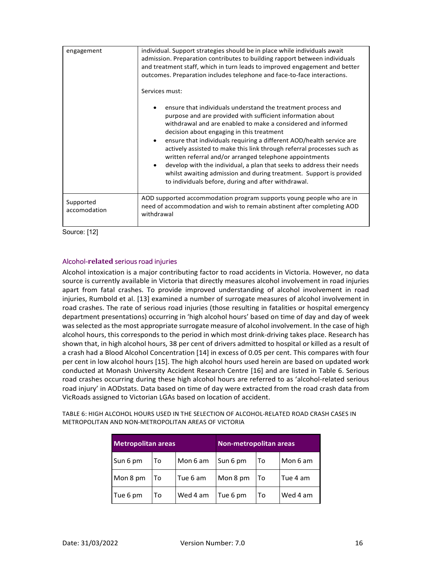| engagement                | individual. Support strategies should be in place while individuals await<br>admission. Preparation contributes to building rapport between individuals<br>and treatment staff, which in turn leads to improved engagement and better<br>outcomes. Preparation includes telephone and face-to-face interactions.<br>Services must:                                                                                                                                                                                                                                                                                                                          |
|---------------------------|-------------------------------------------------------------------------------------------------------------------------------------------------------------------------------------------------------------------------------------------------------------------------------------------------------------------------------------------------------------------------------------------------------------------------------------------------------------------------------------------------------------------------------------------------------------------------------------------------------------------------------------------------------------|
|                           | ensure that individuals understand the treatment process and<br>purpose and are provided with sufficient information about<br>withdrawal and are enabled to make a considered and informed<br>decision about engaging in this treatment<br>ensure that individuals requiring a different AOD/health service are<br>actively assisted to make this link through referral processes such as<br>written referral and/or arranged telephone appointments<br>develop with the individual, a plan that seeks to address their needs<br>whilst awaiting admission and during treatment. Support is provided<br>to individuals before, during and after withdrawal. |
| Supported<br>accomodation | AOD supported accommodation program supports young people who are in<br>need of accommodation and wish to remain abstinent after completing AOD<br>withdrawal                                                                                                                                                                                                                                                                                                                                                                                                                                                                                               |

Source: [12]

#### Alcohol-**related** serious road injuries

Alcohol intoxication is a major contributing factor to road accidents in Victoria. However, no data source is currently available in Victoria that directly measures alcohol involvement in road injuries apart from fatal crashes. To provide improved understanding of alcohol involvement in road injuries, Rumbold et al. [13] examined a number of surrogate measures of alcohol involvement in road crashes. The rate of serious road injuries (those resulting in fatalities or hospital emergency department presentations) occurring in 'high alcohol hours' based on time of day and day of week was selected as the most appropriate surrogate measure of alcohol involvement. In the case of high alcohol hours, this corresponds to the period in which most drink-driving takes place. Research has shown that, in high alcohol hours, 38 per cent of drivers admitted to hospital or killed as a result of a crash had a Blood Alcohol Concentration [14] in excess of 0.05 per cent. This compares with four per cent in low alcohol hours [15]. The high alcohol hours used herein are based on updated work conducted at Monash University Accident Research Centre [16] and are listed in Table 6. Serious road crashes occurring during these high alcohol hours are referred to as 'alcohol-related serious road injury' in AODstats. Data based on time of day were extracted from the road crash data from VicRoads assigned to Victorian LGAs based on location of accident.

TABLE 6: HIGH ALCOHOL HOURS USED IN THE SELECTION OF ALCOHOL-RELATED ROAD CRASH CASES IN METROPOLITAN AND NON-METROPOLITAN AREAS OF VICTORIA

| <b>Metropolitan areas</b> |    | Non-metropolitan areas |          |    |          |
|---------------------------|----|------------------------|----------|----|----------|
| Sun 6 pm                  | To | Mon 6 am               | Sun 6 pm | To | Mon 6 am |
| Mon 8 pm                  | To | Tue 6 am               | Mon 8 pm | To | Tue 4 am |
| Tue 6 pm                  | То | Wed 4 am               | Tue 6 pm | To | Wed 4 am |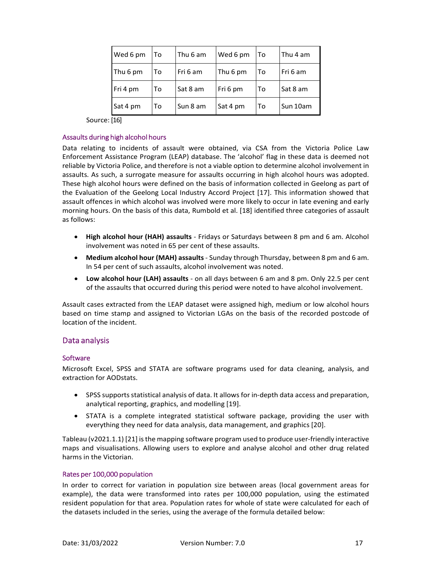| Wed 6 pm | То | Thu 6 am | Wed 6 pm | To | Thu 4 am |
|----------|----|----------|----------|----|----------|
| Thu 6 pm | то | Fri 6 am | Thu 6 pm | То | Fri 6 am |
| Fri 4 pm | То | Sat 8 am | Fri 6 pm | Т٥ | Sat 8 am |
| Sat 4 pm | To | Sun 8 am | Sat 4 pm | Т٥ | Sun 10am |

Source: [16]

#### Assaults during high alcohol hours

Data relating to incidents of assault were obtained, via CSA from the Victoria Police Law Enforcement Assistance Program (LEAP) database. The 'alcohol' flag in these data is deemed not reliable by Victoria Police, and therefore is not a viable option to determine alcohol involvement in assaults. As such, a surrogate measure for assaults occurring in high alcohol hours was adopted. These high alcohol hours were defined on the basis of information collected in Geelong as part of the Evaluation of the Geelong Local Industry Accord Project [17]. This information showed that assault offences in which alcohol was involved were more likely to occur in late evening and early morning hours. On the basis of this data, Rumbold et al. [18] identified three categories of assault as follows:

- **High alcohol hour (HAH) assaults**  Fridays or Saturdays between 8 pm and 6 am. Alcohol involvement was noted in 65 per cent of these assaults.
- **Medium alcohol hour (MAH) assaults**  Sunday through Thursday, between 8 pm and 6 am. In 54 per cent of such assaults, alcohol involvement was noted.
- **Low alcohol hour (LAH) assaults**  on all days between 6 am and 8 pm. Only 22.5 per cent of the assaults that occurred during this period were noted to have alcohol involvement.

Assault cases extracted from the LEAP dataset were assigned high, medium or low alcohol hours based on time stamp and assigned to Victorian LGAs on the basis of the recorded postcode of location of the incident.

#### Data analysis

#### **Software**

Microsoft Excel, SPSS and STATA are software programs used for data cleaning, analysis, and extraction for AODstats.

- SPSS supports statistical analysis of data. It allows for in-depth data access and preparation, analytical reporting, graphics, and modelling [19].
- STATA is a complete integrated statistical software package, providing the user with everything they need for data analysis, data management, and graphics [20].

Tableau (v2021.1.1) [21] is the mapping software program used to produce user-friendly interactive maps and visualisations. Allowing users to explore and analyse alcohol and other drug related harms in the Victorian.

#### Rates per 100,000 population

In order to correct for variation in population size between areas (local government areas for example), the data were transformed into rates per 100,000 population, using the estimated resident population for that area. Population rates for whole of state were calculated for each of the datasets included in the series, using the average of the formula detailed below: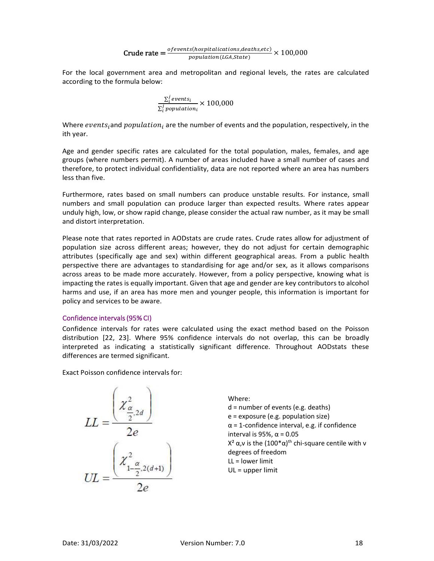$$
Crude rate = \frac{\text{of events}(\text{hospitalications}, \text{deaths}, \text{etc})}{\text{population}(\text{LGA}, \text{State})} \times 100,000
$$

For the local government area and metropolitan and regional levels, the rates are calculated according to the formula below:

$$
\frac{\sum_{i}^{j} events_{i}}{\sum_{i}^{j} population_{i}} \times 100,000
$$

Where  $events_i$ and  $population_i$  are the number of events and the population, respectively, in the ith year.

Age and gender specific rates are calculated for the total population, males, females, and age groups (where numbers permit). A number of areas included have a small number of cases and therefore, to protect individual confidentiality, data are not reported where an area has numbers less than five.

Furthermore, rates based on small numbers can produce unstable results. For instance, small numbers and small population can produce larger than expected results. Where rates appear unduly high, low, or show rapid change, please consider the actual raw number, as it may be small and distort interpretation.

Please note that rates reported in AODstats are crude rates. Crude rates allow for adjustment of population size across different areas; however, they do not adjust for certain demographic attributes (specifically age and sex) within different geographical areas. From a public health perspective there are advantages to standardising for age and/or sex, as it allows comparisons across areas to be made more accurately. However, from a policy perspective, knowing what is impacting the rates is equally important. Given that age and gender are key contributors to alcohol harms and use, if an area has more men and younger people, this information is important for policy and services to be aware.

#### Confidence intervals (95% CI)

Confidence intervals for rates were calculated using the exact method based on the Poisson distribution [22, 23]. Where 95% confidence intervals do not overlap, this can be broadly interpreted as indicating a statistically significant difference. Throughout AODstats these differences are termed significant.

Exact Poisson confidence intervals for:

$$
LL = \frac{\left(\chi_{\frac{\alpha}{2},2d}^2\right)}{2e}
$$

$$
UL = \frac{\left(\chi_{1-\frac{\alpha}{2},2(d+1)}^2\right)}{2e}
$$

Where: d = number of events (e.g. deaths) e = exposure (e.g. population size)  $\alpha$  = 1-confidence interval, e.g. if confidence interval is 95%,  $\alpha$  = 0.05  $X<sup>2</sup>$  α,ν is the (100\*α)<sup>th</sup> chi-square centile with ν degrees of freedom LL = lower limit UL = upper limit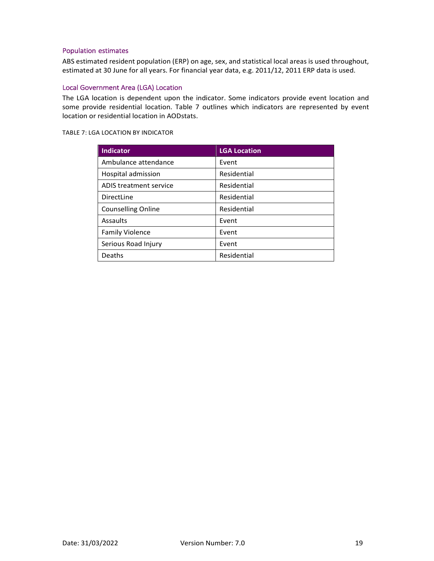#### Population estimates

ABS estimated resident population (ERP) on age, sex, and statistical local areas is used throughout, estimated at 30 June for all years. For financial year data, e.g. 2011/12, 2011 ERP data is used.

#### Local Government Area (LGA) Location

The LGA location is dependent upon the indicator. Some indicators provide event location and some provide residential location. Table 7 outlines which indicators are represented by event location or residential location in AODstats.

TABLE 7: LGA LOCATION BY INDICATOR

| Indicator                 | <b>LGA Location</b> |  |
|---------------------------|---------------------|--|
| Ambulance attendance      | Event               |  |
| Hospital admission        | Residential         |  |
| ADIS treatment service    | Residential         |  |
| DirectLine                | Residential         |  |
| <b>Counselling Online</b> | Residential         |  |
| Assaults                  | Event               |  |
| <b>Family Violence</b>    | Event               |  |
| Serious Road Injury       | Event               |  |
| Deaths                    | Residential         |  |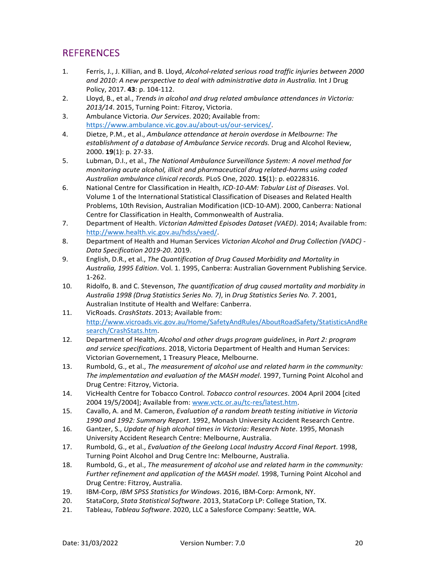# REFERENCES

- 1. Ferris, J., J. Killian, and B. Lloyd, *Alcohol-related serious road traffic injuries between 2000 and 2010: A new perspective to deal with administrative data in Australia.* Int J Drug Policy, 2017. **43**: p. 104-112.
- 2. Lloyd, B., et al., *Trends in alcohol and drug related ambulance attendances in Victoria: 2013/14*. 2015, Turning Point: Fitzroy, Victoria.
- 3. Ambulance Victoria. *Our Services*. 2020; Available from: https://www.ambulance.vic.gov.au/about-us/our-services/.
- 4. Dietze, P.M., et al., *Ambulance attendance at heroin overdose in Melbourne: The establishment of a database of Ambulance Service records.* Drug and Alcohol Review, 2000. **19**(1): p. 27-33.
- 5. Lubman, D.I., et al., *The National Ambulance Surveillance System: A novel method for monitoring acute alcohol, illicit and pharmaceutical drug related-harms using coded Australian ambulance clinical records.* PLoS One, 2020. **15**(1): p. e0228316.
- 6. National Centre for Classification in Health, *ICD-10-AM: Tabular List of Diseases*. Vol. Volume 1 of the International Statistical Classification of Diseases and Related Health Problems, 10th Revision, Australian Modification (ICD-10-AM). 2000, Canberra: National Centre for Classification in Health, Commonwealth of Australia.
- 7. Department of Health. *Victorian Admitted Episodes Dataset (VAED)*. 2014; Available from: http://www.health.vic.gov.au/hdss/vaed/.
- 8. Department of Health and Human Services *Victorian Alcohol and Drug Collection (VADC) Data Specification 2019-20*. 2019.
- 9. English, D.R., et al., *The Quantification of Drug Caused Morbidity and Mortality in Australia, 1995 Edition*. Vol. 1. 1995, Canberra: Australian Government Publishing Service. 1-262.
- 10. Ridolfo, B. and C. Stevenson, *The quantification of drug caused mortality and morbidity in Australia 1998 (Drug Statistics Series No. 7)*, in *Drug Statistics Series No. 7*. 2001, Australian Institute of Health and Welfare: Canberra.
- 11. VicRoads. *CrashStats*. 2013; Available from: http://www.vicroads.vic.gov.au/Home/SafetyAndRules/AboutRoadSafety/StatisticsAndRe search/CrashStats.htm.
- 12. Department of Health, *Alcohol and other drugs program guidelines*, in *Part 2: program and service specifications*. 2018, Victoria Department of Health and Human Services: Victorian Governement, 1 Treasury Pleace, Melbourne.
- 13. Rumbold, G., et al., *The measurement of alcohol use and related harm in the community: The implementation and evaluation of the MASH model*. 1997, Turning Point Alcohol and Drug Centre: Fitzroy, Victoria.
- 14. VicHealth Centre for Tobacco Control. *Tobacco control resources*. 2004 April 2004 [cited 2004 19/5/2004]; Available from: www.vctc.or.au/tc-res/latest.htm.
- 15. Cavallo, A. and M. Cameron, *Evaluation of a random breath testing initiative in Victoria 1990 and 1992: Summary Report*. 1992, Monash University Accident Research Centre.
- 16. Gantzer, S., *Update of high alcohol times in Victoria: Research Note*. 1995, Monash University Accident Research Centre: Melbourne, Australia.
- 17. Rumbold, G., et al., *Evaluation of the Geelong Local Industry Accord Final Report*. 1998, Turning Point Alcohol and Drug Centre Inc: Melbourne, Australia.
- 18. Rumbold, G., et al., *The measurement of alcohol use and related harm in the community: Further refinement and application of the MASH model*. 1998, Turning Point Alcohol and Drug Centre: Fitzroy, Australia.
- 19. IBM-Corp, *IBM SPSS Statistics for Windows*. 2016, IBM-Corp: Armonk, NY.
- 20. StataCorp, *Stata Statistical Software*. 2013, StataCorp LP: College Station, TX.
- 21. Tableau, *Tableau Software*. 2020, LLC a Salesforce Company: Seattle, WA.